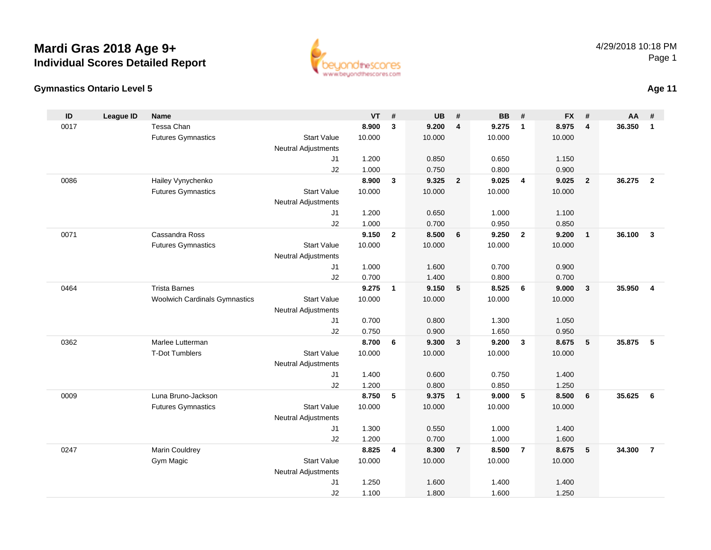#### **Gymnastics Ontario Level 5**

| ID   | <b>League ID</b> | <b>Name</b>                          |                            | <b>VT</b> | #              | <b>UB</b> | #                       | <b>BB</b> | #              | <b>FX</b> | #              | AA     | #              |
|------|------------------|--------------------------------------|----------------------------|-----------|----------------|-----------|-------------------------|-----------|----------------|-----------|----------------|--------|----------------|
| 0017 |                  | Tessa Chan                           |                            | 8.900     | $\mathbf{3}$   | 9.200     | $\overline{4}$          | 9.275     | $\mathbf{1}$   | 8.975     | 4              | 36.350 | $\mathbf{1}$   |
|      |                  | <b>Futures Gymnastics</b>            | <b>Start Value</b>         | 10.000    |                | 10.000    |                         | 10.000    |                | 10.000    |                |        |                |
|      |                  |                                      | <b>Neutral Adjustments</b> |           |                |           |                         |           |                |           |                |        |                |
|      |                  |                                      | J1                         | 1.200     |                | 0.850     |                         | 0.650     |                | 1.150     |                |        |                |
|      |                  |                                      | J2                         | 1.000     |                | 0.750     |                         | 0.800     |                | 0.900     |                |        |                |
| 0086 |                  | Hailey Vynychenko                    |                            | 8.900     | $\mathbf{3}$   | 9.325     | $\overline{2}$          | 9.025     | $\overline{4}$ | 9.025     | $\overline{2}$ | 36.275 | $\overline{2}$ |
|      |                  | <b>Futures Gymnastics</b>            | <b>Start Value</b>         | 10.000    |                | 10.000    |                         | 10.000    |                | 10.000    |                |        |                |
|      |                  |                                      | Neutral Adjustments        |           |                |           |                         |           |                |           |                |        |                |
|      |                  |                                      | J1                         | 1.200     |                | 0.650     |                         | 1.000     |                | 1.100     |                |        |                |
|      |                  |                                      | J2                         | 1.000     |                | 0.700     |                         | 0.950     |                | 0.850     |                |        |                |
| 0071 |                  | Cassandra Ross                       |                            | 9.150     | $\overline{2}$ | 8.500     | 6                       | 9.250     | $\overline{2}$ | 9.200     | $\mathbf{1}$   | 36.100 | $\mathbf{3}$   |
|      |                  | <b>Futures Gymnastics</b>            | <b>Start Value</b>         | 10.000    |                | 10.000    |                         | 10.000    |                | 10.000    |                |        |                |
|      |                  |                                      | Neutral Adjustments        |           |                |           |                         |           |                |           |                |        |                |
|      |                  |                                      | J1                         | 1.000     |                | 1.600     |                         | 0.700     |                | 0.900     |                |        |                |
|      |                  |                                      | J2                         | 0.700     |                | 1.400     |                         | 0.800     |                | 0.700     |                |        |                |
| 0464 |                  | <b>Trista Barnes</b>                 |                            | 9.275     | $\mathbf{1}$   | 9.150     | 5                       | 8.525     | 6              | 9.000     | $\mathbf{3}$   | 35.950 | $\overline{4}$ |
|      |                  | <b>Woolwich Cardinals Gymnastics</b> | <b>Start Value</b>         | 10.000    |                | 10.000    |                         | 10.000    |                | 10.000    |                |        |                |
|      |                  |                                      | <b>Neutral Adjustments</b> |           |                |           |                         |           |                |           |                |        |                |
|      |                  |                                      | J <sub>1</sub>             | 0.700     |                | 0.800     |                         | 1.300     |                | 1.050     |                |        |                |
|      |                  |                                      | J2                         | 0.750     |                | 0.900     |                         | 1.650     |                | 0.950     |                |        |                |
| 0362 |                  | Marlee Lutterman                     |                            | 8.700     | 6              | 9.300     | $\overline{\mathbf{3}}$ | 9.200     | $\mathbf{3}$   | 8.675     | $\sqrt{5}$     | 35.875 | 5              |
|      |                  | <b>T-Dot Tumblers</b>                | <b>Start Value</b>         | 10.000    |                | 10.000    |                         | 10.000    |                | 10.000    |                |        |                |
|      |                  |                                      | <b>Neutral Adjustments</b> |           |                |           |                         |           |                |           |                |        |                |
|      |                  |                                      | J <sub>1</sub>             | 1.400     |                | 0.600     |                         | 0.750     |                | 1.400     |                |        |                |
|      |                  |                                      | J2                         | 1.200     |                | 0.800     |                         | 0.850     |                | 1.250     |                |        |                |
| 0009 |                  | Luna Bruno-Jackson                   |                            | 8.750     | 5              | 9.375     | $\overline{1}$          | 9.000     | 5              | 8.500     | 6              | 35.625 | 6              |
|      |                  | <b>Futures Gymnastics</b>            | <b>Start Value</b>         | 10.000    |                | 10.000    |                         | 10.000    |                | 10.000    |                |        |                |
|      |                  |                                      | Neutral Adjustments        |           |                |           |                         |           |                |           |                |        |                |
|      |                  |                                      | J1                         | 1.300     |                | 0.550     |                         | 1.000     |                | 1.400     |                |        |                |
|      |                  |                                      | J2                         | 1.200     |                | 0.700     |                         | 1.000     |                | 1.600     |                |        |                |
| 0247 |                  | Marin Couldrey                       |                            | 8.825     | 4              | 8.300     | $\overline{7}$          | 8.500     | $\overline{7}$ | 8.675     | 5              | 34.300 | $\overline{7}$ |
|      |                  | Gym Magic                            | <b>Start Value</b>         | 10.000    |                | 10.000    |                         | 10.000    |                | 10.000    |                |        |                |
|      |                  |                                      | <b>Neutral Adjustments</b> |           |                |           |                         |           |                |           |                |        |                |
|      |                  |                                      | J <sub>1</sub>             | 1.250     |                | 1.600     |                         | 1.400     |                | 1.400     |                |        |                |
|      |                  |                                      | J2                         | 1.100     |                | 1.800     |                         | 1.600     |                | 1.250     |                |        |                |

1.100 1.800 1.600 1.250



**Age 11**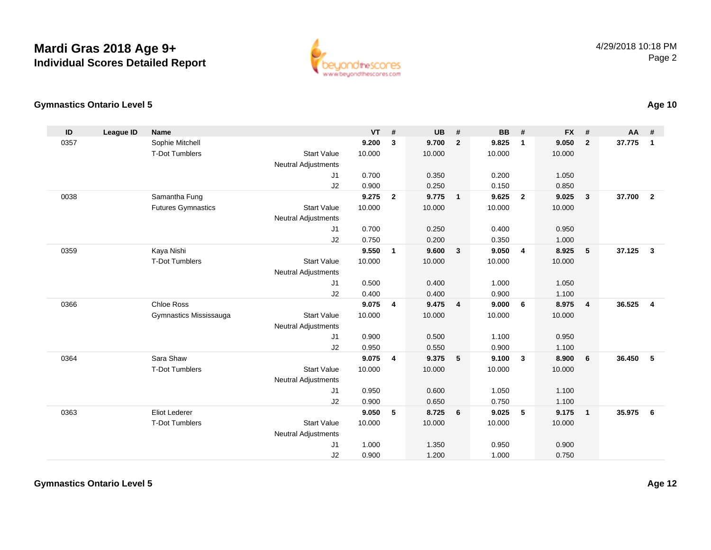

#### **Gymnastics Ontario Level 5**

| ID   | <b>League ID</b> | Name                      |                            | <b>VT</b> | #            | <b>UB</b> | #              | <b>BB</b> | #              | <b>FX</b> | #            | <b>AA</b> | #                       |
|------|------------------|---------------------------|----------------------------|-----------|--------------|-----------|----------------|-----------|----------------|-----------|--------------|-----------|-------------------------|
| 0357 |                  | Sophie Mitchell           |                            | 9.200     | $\mathbf{3}$ | 9.700     | $\overline{2}$ | 9.825     | $\mathbf{1}$   | 9.050     | $\mathbf{2}$ | 37.775    | $\mathbf{1}$            |
|      |                  | <b>T-Dot Tumblers</b>     | <b>Start Value</b>         | 10.000    |              | 10.000    |                | 10.000    |                | 10.000    |              |           |                         |
|      |                  |                           | <b>Neutral Adjustments</b> |           |              |           |                |           |                |           |              |           |                         |
|      |                  |                           | J1                         | 0.700     |              | 0.350     |                | 0.200     |                | 1.050     |              |           |                         |
|      |                  |                           | J2                         | 0.900     |              | 0.250     |                | 0.150     |                | 0.850     |              |           |                         |
| 0038 |                  | Samantha Fung             |                            | 9.275     | $\mathbf{2}$ | 9.775     | $\overline{1}$ | 9.625     | $\overline{2}$ | 9.025     | $\mathbf{3}$ | 37.700    | $\overline{\mathbf{2}}$ |
|      |                  | <b>Futures Gymnastics</b> | <b>Start Value</b>         | 10.000    |              | 10.000    |                | 10.000    |                | 10.000    |              |           |                         |
|      |                  |                           | <b>Neutral Adjustments</b> |           |              |           |                |           |                |           |              |           |                         |
|      |                  |                           | J1                         | 0.700     |              | 0.250     |                | 0.400     |                | 0.950     |              |           |                         |
|      |                  |                           | J2                         | 0.750     |              | 0.200     |                | 0.350     |                | 1.000     |              |           |                         |
| 0359 |                  | Kaya Nishi                |                            | 9.550     | $\mathbf{1}$ | 9.600     | $\mathbf{3}$   | 9.050     | $\overline{4}$ | 8.925     | 5            | 37.125    | $\mathbf{3}$            |
|      |                  | <b>T-Dot Tumblers</b>     | <b>Start Value</b>         | 10.000    |              | 10.000    |                | 10.000    |                | 10.000    |              |           |                         |
|      |                  |                           | <b>Neutral Adjustments</b> |           |              |           |                |           |                |           |              |           |                         |
|      |                  |                           | J1                         | 0.500     |              | 0.400     |                | 1.000     |                | 1.050     |              |           |                         |
|      |                  |                           | J2                         | 0.400     |              | 0.400     |                | 0.900     |                | 1.100     |              |           |                         |
| 0366 |                  | <b>Chloe Ross</b>         |                            | 9.075     | 4            | 9.475     | $\overline{4}$ | 9.000     | 6              | 8.975     | 4            | 36.525    | $\overline{\mathbf{4}}$ |
|      |                  | Gymnastics Mississauga    | <b>Start Value</b>         | 10.000    |              | 10.000    |                | 10.000    |                | 10.000    |              |           |                         |
|      |                  |                           | <b>Neutral Adjustments</b> |           |              |           |                |           |                |           |              |           |                         |
|      |                  |                           | J1                         | 0.900     |              | 0.500     |                | 1.100     |                | 0.950     |              |           |                         |
|      |                  |                           | J2                         | 0.950     |              | 0.550     |                | 0.900     |                | 1.100     |              |           |                         |
| 0364 |                  | Sara Shaw                 |                            | 9.075     | 4            | 9.375     | 5              | 9.100     | $\mathbf{3}$   | 8.900     | 6            | 36.450    | -5                      |
|      |                  | <b>T-Dot Tumblers</b>     | <b>Start Value</b>         | 10.000    |              | 10.000    |                | 10.000    |                | 10.000    |              |           |                         |
|      |                  |                           | <b>Neutral Adjustments</b> |           |              |           |                |           |                |           |              |           |                         |
|      |                  |                           | J1                         | 0.950     |              | 0.600     |                | 1.050     |                | 1.100     |              |           |                         |
|      |                  |                           | J2                         | 0.900     |              | 0.650     |                | 0.750     |                | 1.100     |              |           |                         |
| 0363 |                  | <b>Eliot Lederer</b>      |                            | 9.050     | 5            | 8.725     | 6              | 9.025     | 5              | 9.175     | $\mathbf{1}$ | 35.975    | 6                       |
|      |                  | <b>T-Dot Tumblers</b>     | <b>Start Value</b>         | 10.000    |              | 10.000    |                | 10.000    |                | 10.000    |              |           |                         |
|      |                  |                           | <b>Neutral Adjustments</b> |           |              |           |                |           |                |           |              |           |                         |
|      |                  |                           | J1                         | 1.000     |              | 1.350     |                | 0.950     |                | 0.900     |              |           |                         |
|      |                  |                           | J2                         | 0.900     |              | 1.200     |                | 1.000     |                | 0.750     |              |           |                         |

**Age 10**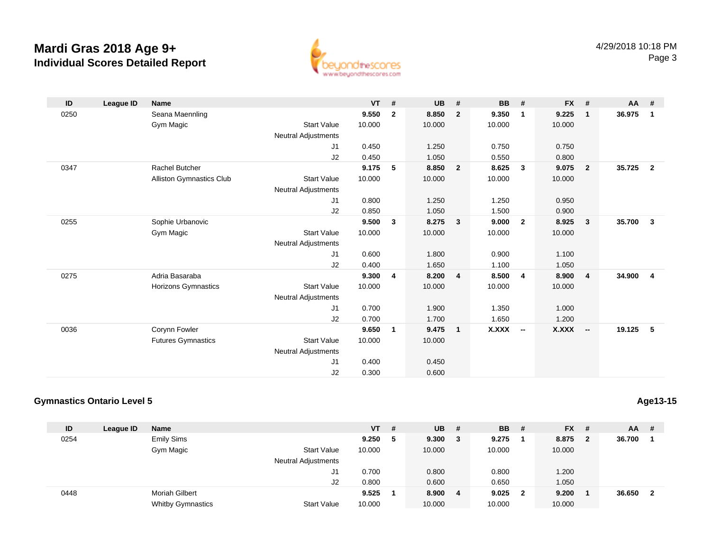

| ID   | <b>League ID</b> | <b>Name</b>                     |                            | <b>VT</b> | #              | <b>UB</b> | #              | <b>BB</b> | #                        | $FX$ # |                | $AA$ # |                         |
|------|------------------|---------------------------------|----------------------------|-----------|----------------|-----------|----------------|-----------|--------------------------|--------|----------------|--------|-------------------------|
| 0250 |                  | Seana Maennling                 |                            | 9.550     | $\overline{2}$ | 8.850     | $\overline{2}$ | 9.350     | 1                        | 9.225  | $\mathbf{1}$   | 36.975 | $\blacksquare$          |
|      |                  | Gym Magic                       | <b>Start Value</b>         | 10.000    |                | 10.000    |                | 10.000    |                          | 10.000 |                |        |                         |
|      |                  |                                 | <b>Neutral Adjustments</b> |           |                |           |                |           |                          |        |                |        |                         |
|      |                  |                                 | J1                         | 0.450     |                | 1.250     |                | 0.750     |                          | 0.750  |                |        |                         |
|      |                  |                                 | J2                         | 0.450     |                | 1.050     |                | 0.550     |                          | 0.800  |                |        |                         |
| 0347 |                  | <b>Rachel Butcher</b>           |                            | 9.175     | 5              | 8.850     | $\overline{2}$ | 8.625     | 3                        | 9.075  | $\overline{2}$ | 35.725 | $\overline{\mathbf{2}}$ |
|      |                  | <b>Alliston Gymnastics Club</b> | <b>Start Value</b>         | 10.000    |                | 10.000    |                | 10.000    |                          | 10.000 |                |        |                         |
|      |                  |                                 | <b>Neutral Adjustments</b> |           |                |           |                |           |                          |        |                |        |                         |
|      |                  |                                 | J1                         | 0.800     |                | 1.250     |                | 1.250     |                          | 0.950  |                |        |                         |
|      |                  |                                 | J2                         | 0.850     |                | 1.050     |                | 1.500     |                          | 0.900  |                |        |                         |
| 0255 |                  | Sophie Urbanovic                |                            | 9.500     | 3              | 8.275     | 3              | 9.000     | $\mathbf{2}$             | 8.925  | $\mathbf{3}$   | 35.700 | $\overline{\mathbf{3}}$ |
|      |                  | Gym Magic                       | <b>Start Value</b>         | 10.000    |                | 10.000    |                | 10.000    |                          | 10.000 |                |        |                         |
|      |                  |                                 | <b>Neutral Adjustments</b> |           |                |           |                |           |                          |        |                |        |                         |
|      |                  |                                 | J <sub>1</sub>             | 0.600     |                | 1.800     |                | 0.900     |                          | 1.100  |                |        |                         |
|      |                  |                                 | J2                         | 0.400     |                | 1.650     |                | 1.100     |                          | 1.050  |                |        |                         |
| 0275 |                  | Adria Basaraba                  |                            | 9.300     | 4              | 8.200     | $\overline{4}$ | 8.500     | $\overline{4}$           | 8.900  | $\overline{4}$ | 34.900 | $\overline{4}$          |
|      |                  | <b>Horizons Gymnastics</b>      | <b>Start Value</b>         | 10.000    |                | 10.000    |                | 10.000    |                          | 10.000 |                |        |                         |
|      |                  |                                 | <b>Neutral Adjustments</b> |           |                |           |                |           |                          |        |                |        |                         |
|      |                  |                                 | J <sub>1</sub>             | 0.700     |                | 1.900     |                | 1.350     |                          | 1.000  |                |        |                         |
|      |                  |                                 | J2                         | 0.700     |                | 1.700     |                | 1.650     |                          | 1.200  |                |        |                         |
| 0036 |                  | Corynn Fowler                   |                            | 9.650     | $\mathbf{1}$   | 9.475     | $\overline{1}$ | X.XXX     | $\overline{\phantom{a}}$ | X.XXX  | $\sim$         | 19.125 | $\overline{5}$          |
|      |                  | <b>Futures Gymnastics</b>       | <b>Start Value</b>         | 10.000    |                | 10.000    |                |           |                          |        |                |        |                         |
|      |                  |                                 | <b>Neutral Adjustments</b> |           |                |           |                |           |                          |        |                |        |                         |
|      |                  |                                 | J <sub>1</sub>             | 0.400     |                | 0.450     |                |           |                          |        |                |        |                         |
|      |                  |                                 | J2                         | 0.300     |                | 0.600     |                |           |                          |        |                |        |                         |

#### **Gymnastics Ontario Level 5**

**ID League ID Name VT # UB # BB # FX # AA #** 0254 Emily Sims **9.250 <sup>5</sup> 9.300 <sup>3</sup> 9.275 <sup>1</sup> 8.875 <sup>2</sup> 36.700 <sup>1</sup>** Gym Magic Start Valuee 10.000 10.000 10.000 10.000 Neutral Adjustments J1 0.700 0.800 0.800 1.200 J2 0.800 0.600 0.650 1.050 0448 Moriah Gilbert **9.525 <sup>1</sup> 8.900 <sup>4</sup> 9.025 <sup>2</sup> 9.200 <sup>1</sup> 36.650 <sup>2</sup>** Whitby Gymnastics Start Valuee 10.000 10.000 10.000 10.000

### **Age13-15**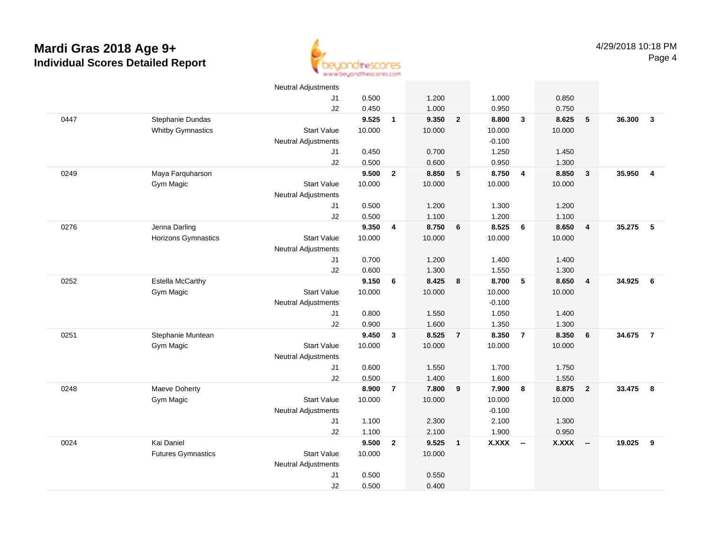

|      |                           | Neutral Adjustments        |        |                |        |                |          |                         |              |                          |        |                         |
|------|---------------------------|----------------------------|--------|----------------|--------|----------------|----------|-------------------------|--------------|--------------------------|--------|-------------------------|
|      |                           | J1                         | 0.500  |                | 1.200  |                | 1.000    |                         | 0.850        |                          |        |                         |
|      |                           | J2                         | 0.450  |                | 1.000  |                | 0.950    |                         | 0.750        |                          |        |                         |
| 0447 | Stephanie Dundas          |                            | 9.525  | $\mathbf{1}$   | 9.350  | $\overline{2}$ | 8.800    | $\overline{\mathbf{3}}$ | 8.625        | 5                        | 36.300 | $\overline{3}$          |
|      | <b>Whitby Gymnastics</b>  | <b>Start Value</b>         | 10.000 |                | 10.000 |                | 10.000   |                         | 10.000       |                          |        |                         |
|      |                           | Neutral Adjustments        |        |                |        |                | $-0.100$ |                         |              |                          |        |                         |
|      |                           | J1                         | 0.450  |                | 0.700  |                | 1.250    |                         | 1.450        |                          |        |                         |
|      |                           | J2                         | 0.500  |                | 0.600  |                | 0.950    |                         | 1.300        |                          |        |                         |
| 0249 | Maya Farquharson          |                            | 9.500  | $\overline{2}$ | 8.850  | 5              | 8.750    | $\overline{4}$          | 8.850        | $\mathbf{3}$             | 35.950 | $\overline{\mathbf{4}}$ |
|      | Gym Magic                 | <b>Start Value</b>         | 10.000 |                | 10.000 |                | 10.000   |                         | 10.000       |                          |        |                         |
|      |                           | <b>Neutral Adjustments</b> |        |                |        |                |          |                         |              |                          |        |                         |
|      |                           | J1                         | 0.500  |                | 1.200  |                | 1.300    |                         | 1.200        |                          |        |                         |
|      |                           | J2                         | 0.500  |                | 1.100  |                | 1.200    |                         | 1.100        |                          |        |                         |
| 0276 | Jenna Darling             |                            | 9.350  | 4              | 8.750  | 6              | 8.525    | 6                       | 8.650        | $\overline{4}$           | 35.275 | 5                       |
|      | Horizons Gymnastics       | <b>Start Value</b>         | 10.000 |                | 10.000 |                | 10.000   |                         | 10.000       |                          |        |                         |
|      |                           | <b>Neutral Adjustments</b> |        |                |        |                |          |                         |              |                          |        |                         |
|      |                           | J <sub>1</sub>             | 0.700  |                | 1.200  |                | 1.400    |                         | 1.400        |                          |        |                         |
|      |                           | J2                         | 0.600  |                | 1.300  |                | 1.550    |                         | 1.300        |                          |        |                         |
| 0252 | Estella McCarthy          |                            | 9.150  | 6              | 8.425  | 8              | 8.700    | 5                       | 8.650        | $\overline{4}$           | 34.925 | 6                       |
|      | Gym Magic                 | <b>Start Value</b>         | 10.000 |                | 10.000 |                | 10.000   |                         | 10.000       |                          |        |                         |
|      |                           | <b>Neutral Adjustments</b> |        |                |        |                | $-0.100$ |                         |              |                          |        |                         |
|      |                           | J1                         | 0.800  |                | 1.550  |                | 1.050    |                         | 1.400        |                          |        |                         |
|      |                           | J2                         | 0.900  |                | 1.600  |                | 1.350    |                         | 1.300        |                          |        |                         |
| 0251 | Stephanie Muntean         |                            | 9.450  | 3              | 8.525  | $\overline{7}$ | 8.350    | $\overline{7}$          | 8.350        | 6                        | 34.675 | $\overline{7}$          |
|      | Gym Magic                 | <b>Start Value</b>         | 10.000 |                | 10.000 |                | 10.000   |                         | 10.000       |                          |        |                         |
|      |                           | Neutral Adjustments        |        |                |        |                |          |                         |              |                          |        |                         |
|      |                           | J <sub>1</sub>             | 0.600  |                | 1.550  |                | 1.700    |                         | 1.750        |                          |        |                         |
|      |                           | J2                         | 0.500  |                | 1.400  |                | 1.600    |                         | 1.550        |                          |        |                         |
| 0248 | Maeve Doherty             |                            | 8.900  | $\overline{7}$ | 7.800  | 9              | 7.900    | 8                       | 8.875        | $\overline{2}$           | 33.475 | 8                       |
|      | Gym Magic                 | <b>Start Value</b>         | 10.000 |                | 10.000 |                | 10.000   |                         | 10.000       |                          |        |                         |
|      |                           | <b>Neutral Adjustments</b> |        |                |        |                | $-0.100$ |                         |              |                          |        |                         |
|      |                           | J <sub>1</sub>             | 1.100  |                | 2.300  |                | 2.100    |                         | 1.300        |                          |        |                         |
|      |                           | J2                         | 1.100  |                | 2.100  |                | 1.900    |                         | 0.950        |                          |        |                         |
| 0024 | Kai Daniel                |                            | 9.500  | $\overline{2}$ | 9.525  | $\mathbf{1}$   | X.XXX    | $\sim$                  | <b>X.XXX</b> | $\overline{\phantom{a}}$ | 19.025 | 9                       |
|      | <b>Futures Gymnastics</b> | <b>Start Value</b>         | 10.000 |                | 10.000 |                |          |                         |              |                          |        |                         |
|      |                           | <b>Neutral Adjustments</b> |        |                |        |                |          |                         |              |                          |        |                         |
|      |                           | J1                         | 0.500  |                | 0.550  |                |          |                         |              |                          |        |                         |
|      |                           | J2                         | 0.500  |                | 0.400  |                |          |                         |              |                          |        |                         |